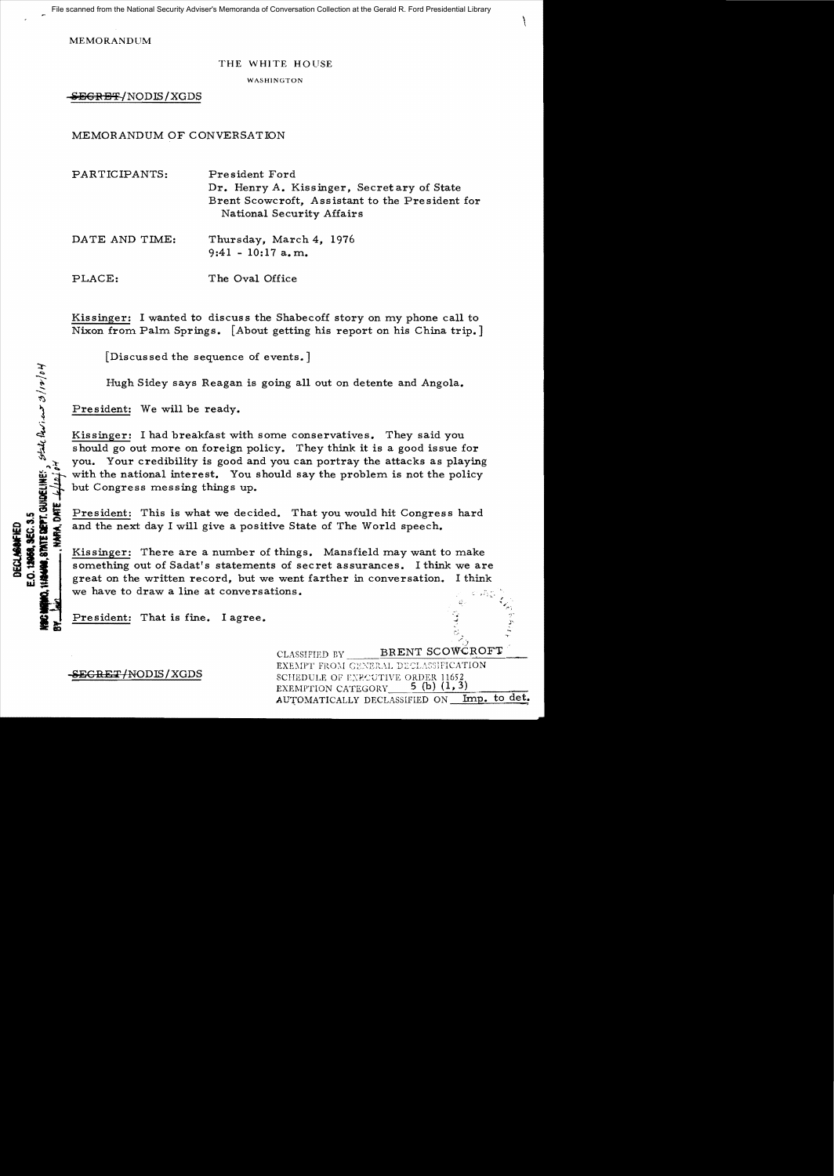File scanned from the National Security Adviser's Memoranda of Conversation Collection at the Gerald R. Ford Presidential Library

MEMORANDUM

## THE WHITE HOUSE

**WASHINGTON** 

SEGRET/NODIS/XGDS

MEMORANDUM OF CONVERSATION

| PARTICIPANTS:  | President Ford<br>Dr. Henry A. Kissinger, Secretary of State<br>Brent Scowcroft, Assistant to the President for<br>National Security Affairs |
|----------------|----------------------------------------------------------------------------------------------------------------------------------------------|
| DATE AND TIME. | Thursday March 4, 1976                                                                                                                       |

DATE AND TIME: Thursday, March 4, 1976  $9:41 - 10:17$  a.m.

PLACE: The Oval Office

Kissinger: I wanted to discuss the Shabecoff story on my phone call to Nixon from Palm Springs. [About getting his report on his China trip.]

[Discussed the sequence of events.]

Hugh Sidey says Reagan is going all out on detente and Angola. ...... -....

President: We will be ready.

 $\ddot{\vec{r}}$ 

 $\tau$ 

~

Kissinger: I had breakfast with some conservatives. They said you should go out more on foreign policy. They think it is a good issue for you. Your credibility is good and you can portray the attacks as playing with the national interest. You should say the problem is not the policy but Congress messing things up.

**12**<br> **II** President: This is what we decided. That you would hit Congress hard<br> **III** is and the next day I will give a positive State of The World speech.

Kissinger: This is what we decided. That you would hit Congress hard<br> **ILL THERE are a number of things.** Mansfield may want to make<br> **ILL ISSES**<br> **ILL ISSUE AT ALL ISSUE AT ALL ISSUE AT ALL ISSUE AT ALL ISSUE AT A SOMETHI** great on the written record, but we went farther in conversation. I think we have to draw a line at conversations.

President: That is fine. I agree.

CLASSIFIED BY BRENT SCOWCROFT EXEMPT FROM GENERAL DECLASSIFICATION **SEGRET/NODIS/XGDS** SCHEDULE OF EXECUTIVE ORDER 11652 5 (b)  $(1, 3)$ EXEMPTION CATEGORY AUTOMATICALLY DECLASSIFIED ON Imp. to det.

/.)

 $\mathcal{L}$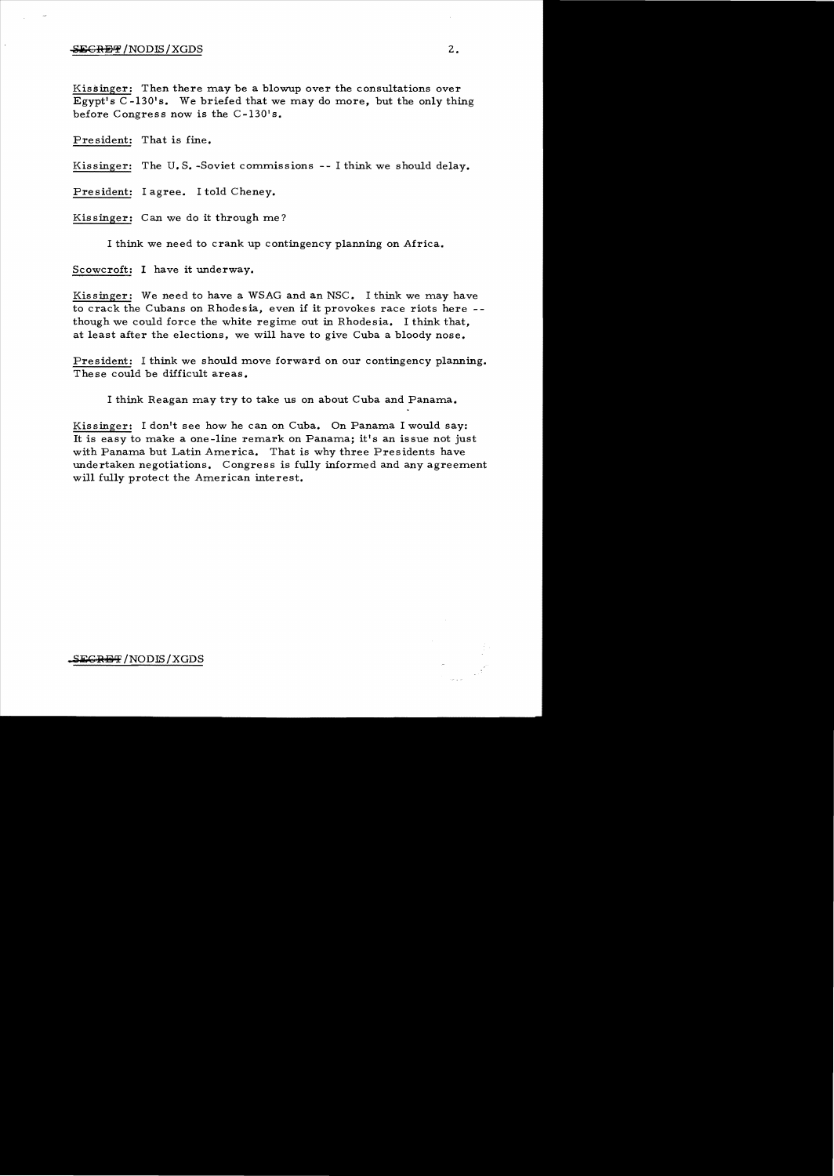## $\overline{\text{SEGREF}}$  /NODIS/XGDS  $2$  .

Kissinger: Then there may be a blowup over the consultations over Egypt's  $C$ -130's. We briefed that we may do more, but the only thing before Congress now is the C-130's.

Pre sident: That is fine.

Kissinger: The U. S. -Soviet commissions -- I think we should delay.

President: I agree. I told Cheney.

Kissinger: Can we do it through me?

I think we need to crank up contingency planning on Africa.

Scowcroft: I have it underway.

Kissinger: We need to have a WSAG and an NSC. I think we may have to crack the Cubans on Rhodesia, even if it provokes race riots here -though we could force the white regime out in Rhodesia. I think that, at least after the elections, we will have to give Cuba a bloody nose.

President: I think we should move forward on our contingency planning. The se could be difficult areas.

I think Reagan may try to take us on about Cuba and Panama.

Kissinger: I don't see how he can on Cuba. On Panama I would say: It is easy to make a one-line remark on Panama; it's an issue not just with Panama but Latin America. That is why three Presidents have undertaken negotiations. Congress is fully informed and any agreement will fully protect the American interest.

 ${SEGR}$   $\rightarrow$   $NODIS/XGDS$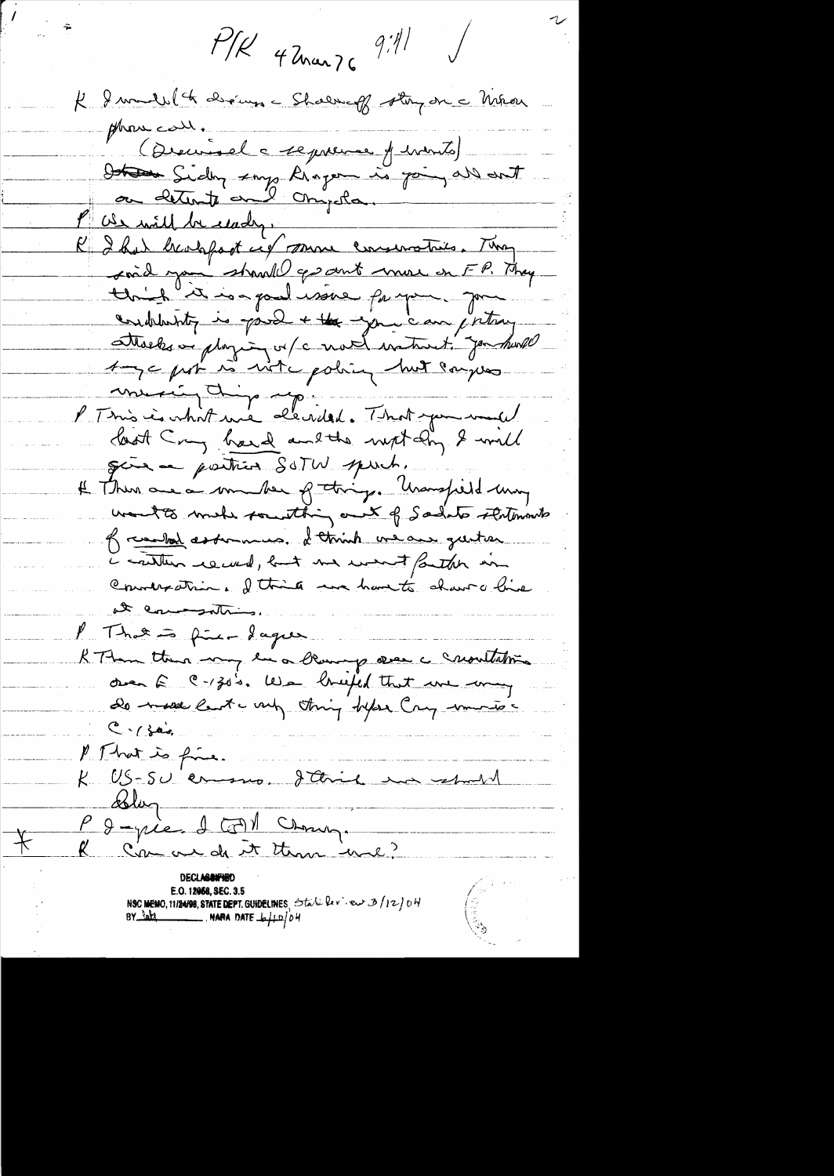$P/R$  42 mars 9:41 K I mandel de chines - Shalmag story on a Méron phone call. (Dieumel a reprense of intents) Determine Sidny says Riogen is join all ant ou detente au l'Onyda. Pas will be clady. K I had beachfast cit somme conservatives. They said you stand gesout more on FP. They this is a pullisive for your good endelenting is journed + the your can justing Three or playing or / c not water to genture Auge par in vite policy huit campes mercin dip repies de la pouvention last Cry hard and the night day & will give a position SOTW spuch. # Then are a maker of thing. Unanspell my works make touthing out of Sadats statements of combat assummes, I think we are gustion i cantur record, but me went faither in Counteration. I think we have to share hive at commention / That = fine dages t aller den handelse band RTtom there was le a blowing aver a crowntation over E C-130's. We briefed that we way do made last und thing topse Cry muntos  $C - 1$  for P. That is fine. K US-SU en mo, d'Avie ma estate Solar-P & -pie. I FM Change

E.O. 12068, SEC. 3.5  $\frac{8}{100}$ 

 $\bigstar$